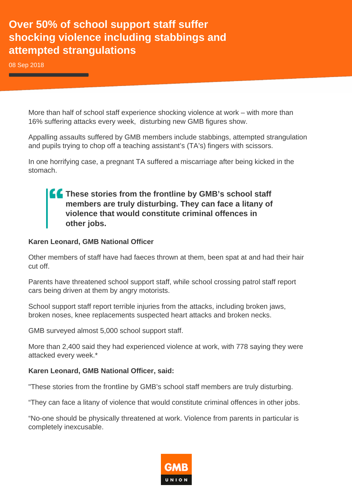## **Over 50% of school support staff suffer shocking violence including stabbings and attempted strangulations**

08 Sep 2018

More than half of school staff experience shocking violence at work – with more than 16% suffering attacks every week, disturbing new GMB figures show.

Appalling assaults suffered by GMB members include stabbings, attempted strangulation and pupils trying to chop off a teaching assistant's (TA's) fingers with scissors.

In one horrifying case, a pregnant TA suffered a miscarriage after being kicked in the stomach.

**These stories from the frontline by GMB's school staff members are truly disturbing. They can face a litany of violence that would constitute criminal offences in other jobs.**

## **Karen Leonard, GMB National Officer**

Other members of staff have had faeces thrown at them, been spat at and had their hair cut off.

Parents have threatened school support staff, while school crossing patrol staff report cars being driven at them by angry motorists.

School support staff report terrible injuries from the attacks, including broken jaws, broken noses, knee replacements suspected heart attacks and broken necks.

GMB surveyed almost 5,000 school support staff.

More than 2,400 said they had experienced violence at work, with 778 saying they were attacked every week.\*

## **Karen Leonard, GMB National Officer, said:**

"These stories from the frontline by GMB's school staff members are truly disturbing.

"They can face a litany of violence that would constitute criminal offences in other jobs.

"No-one should be physically threatened at work. Violence from parents in particular is completely inexcusable.